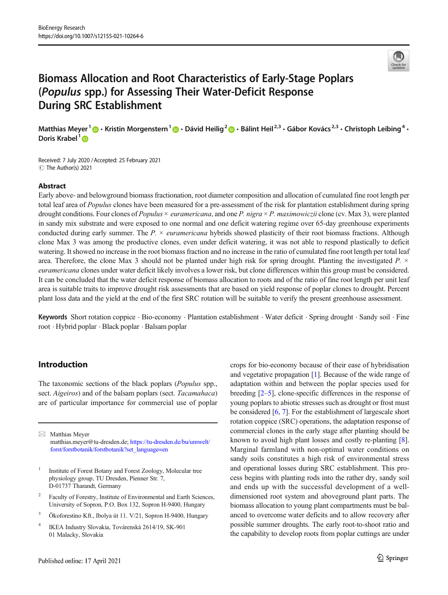

# Biomass Allocation and Root Characteristics of Early-Stage Poplars (Populus spp.) for Assessing Their Water-Deficit Response During SRC Establishment

Matthias Meyer  $1 \oplus \cdot$  Kristin Morgenstern  $1 \oplus \cdot$  Dávid Heilig  $2 \oplus \cdot$  Bálint Heil<sup>2,3</sup>  $\cdot$  Gábor Kovács<sup>2,3</sup>  $\cdot$  Christoph Leibing  $4 \cdot$ Doris Krabel<sup>1</sup>

Received: 7 July 2020 /Accepted: 25 February 2021  $\circledcirc$  The Author(s) 2021

## Abstract

Early above- and belowground biomass fractionation, root diameter composition and allocation of cumulated fine root length per total leaf area of Populus clones have been measured for a pre-assessment of the risk for plantation establishment during spring drought conditions. Four clones of *Populus*  $\times$  *euramericana*, and one P. nigra  $\times$  P. maximowiczii clone (cv. Max 3), were planted in sandy mix substrate and were exposed to one normal and one deficit watering regime over 65-day greenhouse experiments conducted during early summer. The  $P \times$  *euramericana* hybrids showed plasticity of their root biomass fractions. Although clone Max 3 was among the productive clones, even under deficit watering, it was not able to respond plastically to deficit watering. It showed no increase in the root biomass fraction and no increase in the ratio of cumulated fine root length per total leaf area. Therefore, the clone Max 3 should not be planted under high risk for spring drought. Planting the investigated  $P \times \{$ euramericana clones under water deficit likely involves a lower risk, but clone differences within this group must be considered. It can be concluded that the water deficit response of biomass allocation to roots and of the ratio of fine root length per unit leaf area is suitable traits to improve drought risk assessments that are based on yield response of poplar clones to drought. Percent plant loss data and the yield at the end of the first SRC rotation will be suitable to verify the present greenhouse assessment.

Keywords Short rotation coppice . Bio-economy . Plantation establishment . Water deficit . Spring drought . Sandy soil . Fine root . Hybrid poplar . Black poplar . Balsam poplar

# Introduction

The taxonomic sections of the black poplars (Populus spp., sect. Aigeiros) and of the balsam poplars (sect. Tacamahaca) are of particular importance for commercial use of poplar

 $\boxtimes$  Matthias Meyer [matthias.meyer@tu-dresden.de;](mailto:matthias.meyer@tu-dresden.de) https://tu-dresden.de/bu/umwelt/ forst/forstbotanik/forstbotanik?set\_language=en

- <sup>1</sup> Institute of Forest Botany and Forest Zoology, Molecular tree physiology group, TU Dresden, Pienner Str. 7, D-01737 Tharandt, Germany
- Faculty of Forestry, Institute of Environmental and Earth Sciences, University of Sopron, P.O. Box 132, Sopron H-9400, Hungary
- <sup>3</sup> Ökoforestino Kft., Ibolya út 11. V/21, Sopron H-9400, Hungary
- <sup>4</sup> IKEA Industry Slovakia, Továrenská 2614/19, SK-901 01 Malacky, Slovakia

adaptation within and between the poplar species used for breeding  $[2-5]$  $[2-5]$  $[2-5]$  $[2-5]$ , clone-specific differences in the response of young poplars to abiotic stresses such as drought or frost must be considered [\[6](#page-12-0), [7\]](#page-12-0). For the establishment of largescale short rotation coppice (SRC) operations, the adaptation response of commercial clones in the early stage after planting should be known to avoid high plant losses and costly re-planting [[8\]](#page-12-0). Marginal farmland with non-optimal water conditions on sandy soils constitutes a high risk of environmental stress and operational losses during SRC establishment. This process begins with planting rods into the rather dry, sandy soil and ends up with the successful development of a welldimensioned root system and aboveground plant parts. The biomass allocation to young plant compartments must be balanced to overcome water deficits and to allow recovery after possible summer droughts. The early root-to-shoot ratio and the capability to develop roots from poplar cuttings are under

crops for bio-economy because of their ease of hybridisation and vegetative propagation [\[1](#page-12-0)]. Because of the wide range of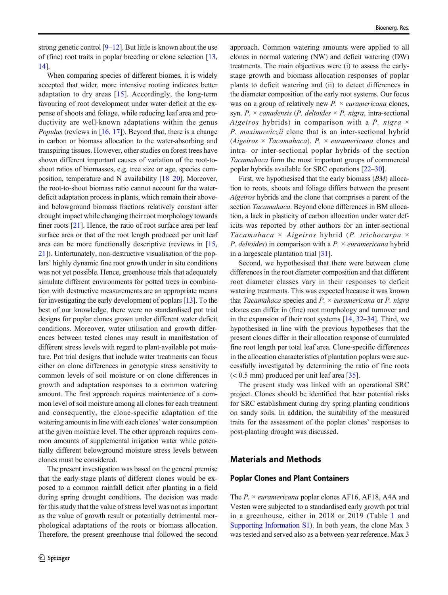strong genetic control [\[9](#page-12-0)–[12\]](#page-12-0). But little is known about the use of (fine) root traits in poplar breeding or clone selection [[13,](#page-12-0) [14\]](#page-12-0).

When comparing species of different biomes, it is widely accepted that wider, more intensive rooting indicates better adaptation to dry areas [[15](#page-12-0)]. Accordingly, the long-term favouring of root development under water deficit at the expense of shoots and foliage, while reducing leaf area and productivity are well-known adaptations within the genus *Populus* (reviews in  $[16, 17]$  $[16, 17]$  $[16, 17]$  $[16, 17]$ ). Beyond that, there is a change in carbon or biomass allocation to the water-absorbing and transpiring tissues. However, other studies on forest trees have shown different important causes of variation of the root-toshoot ratios of biomasses, e.g. tree size or age, species composition, temperature and N availability [\[18](#page-12-0)–[20](#page-12-0)]. Moreover, the root-to-shoot biomass ratio cannot account for the waterdeficit adaptation process in plants, which remain their aboveand belowground biomass fractions relatively constant after drought impact while changing their root morphology towards finer roots [\[21](#page-13-0)]. Hence, the ratio of root surface area per leaf surface area or that of the root length produced per unit leaf area can be more functionally descriptive (reviews in [[15,](#page-12-0) [21\]](#page-13-0)). Unfortunately, non-destructive visualisation of the poplars' highly dynamic fine root growth under in situ conditions was not yet possible. Hence, greenhouse trials that adequately simulate different environments for potted trees in combination with destructive measurements are an appropriate means for investigating the early development of poplars [\[13\]](#page-12-0). To the best of our knowledge, there were no standardised pot trial designs for poplar clones grown under different water deficit conditions. Moreover, water utilisation and growth differences between tested clones may result in manifestation of different stress levels with regard to plant-available pot moisture. Pot trial designs that include water treatments can focus either on clone differences in genotypic stress sensitivity to common levels of soil moisture or on clone differences in growth and adaptation responses to a common watering amount. The first approach requires maintenance of a common level of soil moisture among all clones for each treatment and consequently, the clone-specific adaptation of the watering amounts in line with each clones' water consumption at the given moisture level. The other approach requires common amounts of supplemental irrigation water while potentially different belowground moisture stress levels between clones must be considered.

The present investigation was based on the general premise that the early-stage plants of different clones would be exposed to a common rainfall deficit after planting in a field during spring drought conditions. The decision was made for this study that the value of stress level was not as important as the value of growth result or potentially detrimental morphological adaptations of the roots or biomass allocation. Therefore, the present greenhouse trial followed the second approach. Common watering amounts were applied to all clones in normal watering (NW) and deficit watering (DW) treatments. The main objectives were (i) to assess the earlystage growth and biomass allocation responses of poplar plants to deficit watering and (ii) to detect differences in the diameter composition of the early root systems. Our focus was on a group of relatively new  $P \times$  *euramericana* clones, syn. P.  $\times$  canadensis (P. deltoides  $\times$  P. nigra, intra-sectional Aigeiros hybrids) in comparison with a P. nigra  $\times$ P. maximowiczii clone that is an inter-sectional hybrid (Aigeiros  $\times$  Tacamahaca). P.  $\times$  euramericana clones and intra- or inter-sectional poplar hybrids of the section Tacamahaca form the most important groups of commercial poplar hybrids available for SRC operations [[22](#page-13-0)–[30](#page-13-0)].

First, we hypothesised that the early biomass (BM) allocation to roots, shoots and foliage differs between the present Aigeiros hybrids and the clone that comprises a parent of the section Tacamahaca. Beyond clone differences in BM allocation, a lack in plasticity of carbon allocation under water deficits was reported by other authors for an inter-sectional Tacamahaca  $\times$  Aigeiros hybrid (P. trichocarpa  $\times$ *P. deltoides*) in comparison with a  $P \times$  *euramericana* hybrid in a largescale plantation trial [[31](#page-13-0)].

Second, we hypothesised that there were between clone differences in the root diameter composition and that different root diameter classes vary in their responses to deficit watering treatments. This was expected because it was known that Tacamahaca species and  $P \times$  euramericana or P. nigra clones can differ in (fine) root morphology and turnover and in the expansion of their root systems  $[14, 32-34]$  $[14, 32-34]$  $[14, 32-34]$  $[14, 32-34]$  $[14, 32-34]$  $[14, 32-34]$ . Third, we hypothesised in line with the previous hypotheses that the present clones differ in their allocation response of cumulated fine root length per total leaf area. Clone-specific differences in the allocation characteristics of plantation poplars were successfully investigated by determining the ratio of fine roots  $(< 0.5$  mm) produced per unit leaf area [[35](#page-13-0)].

The present study was linked with an operational SRC project. Clones should be identified that bear potential risks for SRC establishment during dry spring planting conditions on sandy soils. In addition, the suitability of the measured traits for the assessment of the poplar clones' responses to post-planting drought was discussed.

## Materials and Methods

#### Poplar Clones and Plant Containers

The  $P \times$  *euramericana* poplar clones AF16, AF18, A4A and Vesten were subjected to a standardised early growth pot trial in a greenhouse, either in 2018 or 2019 (Table [1](#page-2-0) and Supporting Information S1). In both years, the clone Max 3 was tested and served also as a between-year reference. Max 3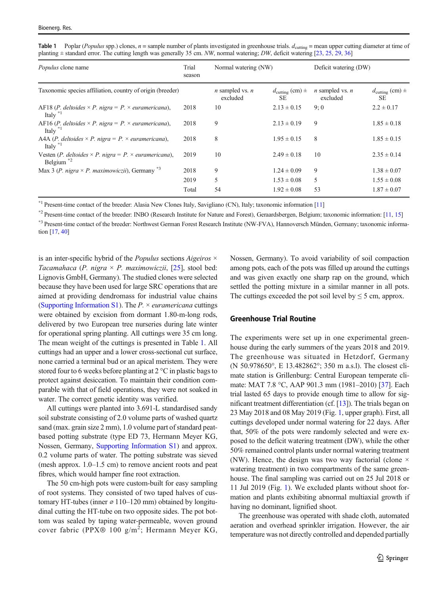<span id="page-2-0"></span>

| Table 1 Poplar (Populus spp.) clones, $n =$ sample number of plants investigated in greenhouse trials. $d_{\text{cutting}} =$ mean upper cutting diameter at time of |
|----------------------------------------------------------------------------------------------------------------------------------------------------------------------|
| planting $\pm$ standard error. The cutting length was generally 35 cm. NW, normal watering; DW, deficit watering [23, 25, 29, 36]                                    |

| <i>Populus</i> clone name                                                                | Trial<br>season | Normal watering (NW)                 |                                       | Deficit watering (DW)                |                                                      |
|------------------------------------------------------------------------------------------|-----------------|--------------------------------------|---------------------------------------|--------------------------------------|------------------------------------------------------|
| Taxonomic species affiliation, country of origin (breeder)                               |                 | <i>n</i> sampled vs. $n$<br>excluded | $d_{\text{cutting}}$ (cm) $\pm$<br>SE | <i>n</i> sampled vs. $n$<br>excluded | $d_{\text{cutting}}\left(\text{cm}\right) \pm$<br>SE |
| AF18 (P. deltoides $\times$ P. nigra = P. $\times$ euramericana),<br>Italy $\sqrt[n]{ }$ | 2018            | 10                                   | $2.13 \pm 0.15$                       | 9:0                                  | $2.2 \pm 0.17$                                       |
| AF16 (P. deltoides $\times$ P. nigra = P. $\times$ euramericana),<br>Italy $\sqrt[3]{ }$ | 2018            | 9                                    | $2.13 \pm 0.19$                       | 9                                    | $1.85 \pm 0.18$                                      |
| A4A (P. deltoides $\times$ P. nigra = P. $\times$ euramericana),<br>Italy $\mathbb{R}^1$ | 2018            | 8                                    | $1.95 \pm 0.15$                       | 8                                    | $1.85 \pm 0.15$                                      |
| Vesten (P. deltoides $\times$ P. nigra = P. $\times$ euramericana),<br>Belgium $*2$      | 2019            | 10                                   | $2.49 \pm 0.18$                       | 10                                   | $2.35 \pm 0.14$                                      |
| Max 3 (P. nigra $\times$ P. maximowiczii), Germany $^{*3}$                               | 2018            | 9                                    | $1.24 \pm 0.09$                       | 9                                    | $1.38 \pm 0.07$                                      |
|                                                                                          | 2019            | 5                                    | $1.53 \pm 0.08$                       | 5                                    | $1.55 \pm 0.08$                                      |
|                                                                                          | Total           | 54                                   | $1.92 \pm 0.08$                       | 53                                   | $1.87 \pm 0.07$                                      |

\*1 Present-time contact of the breeder: Alasia New Clones Italy, Savigliano (CN), Italy; taxonomic information [[11\]](#page-12-0)

\*2 Present-time contact of the breeder: INBO (Research Institute for Nature and Forest), Geraardsbergen, Belgium; taxonomic information: [\[11,](#page-12-0) [15](#page-12-0)] \*3 Present-time contact of the breeder: Northwest German Forest Research Institute (NW-FVA), Hannoversch Münden, Germany; taxonomic information [[17,](#page-12-0) [40](#page-13-0)]

is an inter-specific hybrid of the *Populus* sections  $Aigeiros \times$ Tacamahaca (P. nigra  $\times$  P. maximowiczii, [\[25](#page-13-0)], stool bed: Lignovis GmbH, Germany). The studied clones were selected because they have been used for large SRC operations that are aimed at providing dendromass for industrial value chains (Supporting Information S1). The  $P \times$  euramericana cuttings were obtained by excision from dormant 1.80-m-long rods, delivered by two European tree nurseries during late winter for operational spring planting. All cuttings were 35 cm long. The mean weight of the cuttings is presented in Table 1. All cuttings had an upper and a lower cross-sectional cut surface, none carried a terminal bud or an apical meristem. They were stored four to 6 weeks before planting at 2 °C in plastic bags to protect against desiccation. To maintain their condition comparable with that of field operations, they were not soaked in water. The correct genetic identity was verified.

All cuttings were planted into 3.691-L standardised sandy soil substrate consisting of 2.0 volume parts of washed quartz sand (max. grain size 2 mm), 1.0 volume part of standard peatbased potting substrate (type ED 73, Hermann Meyer KG, Nossen, Germany, Supporting Information S1) and approx. 0.2 volume parts of water. The potting substrate was sieved (mesh approx. 1.0–1.5 cm) to remove ancient roots and peat fibres, which would hamper fine root extraction.

The 50 cm-high pots were custom-built for easy sampling of root systems. They consisted of two taped halves of customary HT-tubes (inner  $\varnothing$  110–120 mm) obtained by longitudinal cutting the HT-tube on two opposite sides. The pot bottom was sealed by taping water-permeable, woven ground cover fabric (PPX® 100  $g/m^2$ ; Hermann Meyer KG,

Nossen, Germany). To avoid variability of soil compaction among pots, each of the pots was filled up around the cuttings and was given exactly one sharp rap on the ground, which settled the potting mixture in a similar manner in all pots. The cuttings exceeded the pot soil level by  $\leq$  5 cm, approx.

#### Greenhouse Trial Routine

The experiments were set up in one experimental greenhouse during the early summers of the years 2018 and 2019. The greenhouse was situated in Hetzdorf, Germany (N 50.978650°, E 13.482862°; 350 m a.s.l). The closest climate station is Grillenburg: Central European temperate climate: MAT 7.8 °C, AAP 901.3 mm (1981–2010) [[37](#page-13-0)]. Each trial lasted 65 days to provide enough time to allow for significant treatment differentiation (cf. [[13](#page-12-0)]). The trials began on 23 May 2018 and 08 May 2019 (Fig. [1,](#page-3-0) upper graph). First, all cuttings developed under normal watering for 22 days. After that, 50% of the pots were randomly selected and were exposed to the deficit watering treatment (DW), while the other 50% remained control plants under normal watering treatment (NW). Hence, the design was two way factorial (clone  $\times$ watering treatment) in two compartments of the same greenhouse. The final sampling was carried out on 25 Jul 2018 or 11 Jul 2019 (Fig. [1\)](#page-3-0). We excluded plants without shoot formation and plants exhibiting abnormal multiaxial growth if having no dominant, lignified shoot.

The greenhouse was operated with shade cloth, automated aeration and overhead sprinkler irrigation. However, the air temperature was not directly controlled and depended partially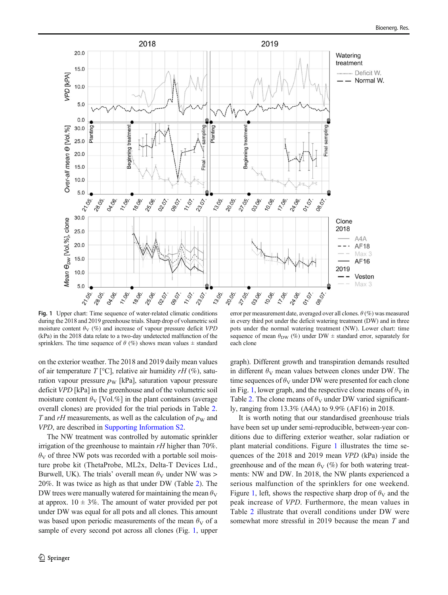<span id="page-3-0"></span>

Fig. 1 Upper chart: Time sequence of water-related climatic conditions during the 2018 and 2019 greenhouse trials. Sharp drop of volumetric soil moisture content  $\theta_V$  (%) and increase of vapour pressure deficit VPD (kPa) in the 2018 data relate to a two-day undetected malfunction of the sprinklers. The time sequence of  $\theta$  (%) shows mean values  $\pm$  standard

on the exterior weather. The 2018 and 2019 daily mean values of air temperature  $T$  [°C], relative air humidity  $rH$  (%), saturation vapour pressure  $p_W$  [kPa], saturation vapour pressure deficit VPD [kPa] in the greenhouse and of the volumetric soil moisture content  $\theta_V$  [Vol.%] in the plant containers (average overall clones) are provided for the trial periods in Table [2.](#page-4-0) T and rH measurements, as well as the calculation of  $p<sub>W</sub>$  and VPD, are described in Supporting Information S2.

The NW treatment was controlled by automatic sprinkler irrigation of the greenhouse to maintain  $rH$  higher than 70%.  $\theta_V$  of three NW pots was recorded with a portable soil moisture probe kit (ThetaProbe, ML2x, Delta-T Devices Ltd., Burwell, UK). The trials' overall mean  $\theta_V$  under NW was > 20%. It was twice as high as that under DW (Table [2](#page-4-0)). The DW trees were manually watered for maintaining the mean  $\theta_V$ at approx.  $10 \pm 3\%$ . The amount of water provided per pot under DW was equal for all pots and all clones. This amount was based upon periodic measurements of the mean  $\theta_V$  of a sample of every second pot across all clones (Fig. 1, upper

error per measurement date, averaged over all clones.  $\theta$  (%) was measured in every third pot under the deficit watering treatment (DW) and in three pots under the normal watering treatment (NW). Lower chart: time sequence of mean  $\theta_{\text{DW}}$  (%) under DW  $\pm$  standard error, separately for each clone

graph). Different growth and transpiration demands resulted in different  $\theta_V$  mean values between clones under DW. The time sequences of  $\theta_V$  under DW were presented for each clone in Fig. 1, lower graph, and the respective clone means of  $\theta_V$  in Table [2](#page-4-0). The clone means of  $\theta_V$  under DW varied significantly, ranging from 13.3% (A4A) to 9.9% (AF16) in 2018.

It is worth noting that our standardised greenhouse trials have been set up under semi-reproducible, between-year conditions due to differing exterior weather, solar radiation or plant material conditions. Figure 1 illustrates the time sequences of the 2018 and 2019 mean VPD (kPa) inside the greenhouse and of the mean  $\theta_V$  (%) for both watering treatments: NW and DW. In 2018, the NW plants experienced a serious malfunction of the sprinklers for one weekend. Figure 1, left, shows the respective sharp drop of  $\theta_V$  and the peak increase of VPD. Furthermore, the mean values in Table [2](#page-4-0) illustrate that overall conditions under DW were somewhat more stressful in 2019 because the mean T and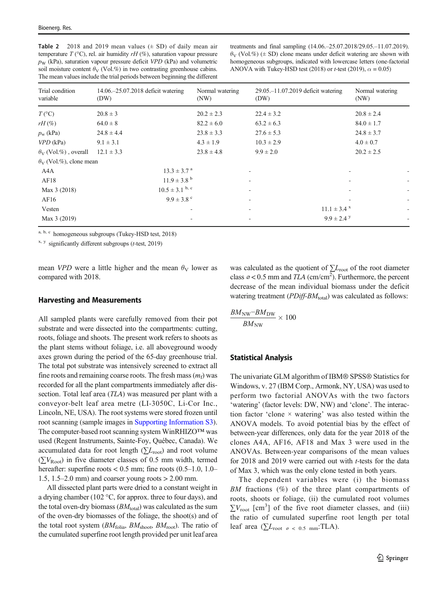<span id="page-4-0"></span>Table 2 2018 and 2019 mean values  $(\pm SD)$  of daily mean air temperature  $T$  (°C), rel. air humidity  $rH$  (%), saturation vapour pressure  $p_W$  (kPa), saturation vapour pressure deficit VPD (kPa) and volumetric soil moisture content  $\theta_V$  (Vol.%) in two contrasting greenhouse cabins. The mean values include the trial periods between beginning the different

treatments and final sampling (14.06.–25.07.2018/29.05.–11.07.2019).  $\theta_V$  (Vol.%) ( $\pm$  SD) clone means under deficit watering are shown with homogeneous subgroups, indicated with lowercase letters (one-factorial ANOVA with Tukey-HSD test (2018) or *t*-test (2019),  $\alpha = 0.05$ )

| Trial condition<br>variable      | 14.06.–25.07.2018 deficit watering<br>(DW) | Normal watering<br>(NW) | 29.05. -11.07.2019 deficit watering<br>(DW) | Normal watering<br>(NW)                         |
|----------------------------------|--------------------------------------------|-------------------------|---------------------------------------------|-------------------------------------------------|
| $T({}^{\circ}C)$                 | $20.8 \pm 3$                               | $20.2 \pm 2.3$          | $22.4 \pm 3.2$                              | $20.8 \pm 2.4$                                  |
| $rH(\%)$                         | $64.0 \pm 8$                               | $82.2 \pm 6.0$          | $63.2 \pm 6.3$                              | $84.0 \pm 1.7$                                  |
| $p_{\rm w}$ (kPa)                | $24.8 \pm 4.4$                             | $23.8 \pm 3.3$          | $27.6 \pm 5.3$                              | $24.8 \pm 3.7$                                  |
| $VPD$ (kPa)                      | $9.1 \pm 3.1$                              | $4.3 \pm 1.9$           | $10.3 \pm 2.9$                              | $4.0 \pm 0.7$                                   |
| $\theta_{V}$ (Vol.%), overall    | $12.1 \pm 3.3$                             | $23.8 \pm 4.8$          | $9.9 \pm 2.0$                               | $20.2 \pm 2.5$                                  |
| $\theta_{V}$ (Vol.%), clone mean |                                            |                         |                                             |                                                 |
| A4A                              | $13.3 \pm 3.7$ <sup>a</sup>                |                         |                                             |                                                 |
| AF18                             | $11.9 \pm 3.8$ <sup>b</sup>                |                         | ٠                                           |                                                 |
| Max 3 (2018)                     | $10.5 \pm 3.1$ b, c                        |                         |                                             | ÷                                               |
| AF16                             | $9.9 \pm 3.8$ °                            |                         |                                             | ٠                                               |
| Vesten                           |                                            |                         |                                             | $11.1 \pm 3.4$ x<br>$\overline{\phantom{a}}$    |
| Max 3 (2019)                     |                                            |                         |                                             | $9.9 \pm 2.4$ y<br>$\qquad \qquad \blacksquare$ |

a, b, c homogeneous subgroups (Tukey-HSD test, 2018)

 $x, y$  significantly different subgroups (*t*-test, 2019)

mean *VPD* were a little higher and the mean  $\theta_V$  lower as compared with 2018.

## Harvesting and Measurements

All sampled plants were carefully removed from their pot substrate and were dissected into the compartments: cutting, roots, foliage and shoots. The present work refers to shoots as the plant stems without foliage, i.e. all aboveground woody axes grown during the period of the 65-day greenhouse trial. The total pot substrate was intensively screened to extract all fine roots and remaining coarse roots. The fresh mass  $(m_f)$  was recorded for all the plant compartments immediately after dissection. Total leaf area (*TLA*) was measured per plant with a conveyor-belt leaf area metre (LI-3050C, Li-Cor Inc., Lincoln, NE, USA). The root systems were stored frozen until root scanning (sample images in Supporting Information S3). The computer-based root scanning system WinRHIZO™ was used (Regent Instruments, Sainte-Foy, Québec, Canada). We accumulated data for root length ( $\sum L_{\text{root}}$ ) and root volume  $(\sum V_{Root})$  in five diameter classes of 0.5 mm width, termed hereafter: superfine roots  $< 0.5$  mm; fine roots  $(0.5-1.0, 1.0-$ 1.5, 1.5–2.0 mm) and coarser young roots > 2.00 mm.

All dissected plant parts were dried to a constant weight in a drying chamber (102 °C, for approx. three to four days), and the total oven-dry biomass  $(BM_{\text{total}})$  was calculated as the sum of the oven-dry biomasses of the foliage, the shoot(s) and of the total root system ( $BM_{\text{folia}}$ ,  $BM_{\text{shoot}}$ ,  $BM_{\text{root}}$ ). The ratio of the cumulated superfine root length provided per unit leaf area

was calculated as the quotient of  $\Sigma_{\text{root}}$  of the root diameter class  $\varphi$  < 0.5 mm and *TLA* (cm/cm<sup>2</sup>). Furthermore, the percent decrease of the mean individual biomass under the deficit watering treatment ( $PDiff-BM_{total}$ ) was calculated as follows:

$$
\frac{BM_{\rm NW}-BM_{\rm DW}}{BM_{\rm NW}}\times 100
$$

#### Statistical Analysis

The univariate GLM algorithm of IBM® SPSS® Statistics for Windows, v. 27 (IBM Corp., Armonk, NY, USA) was used to perform two factorial ANOVAs with the two factors 'watering' (factor levels: DW, NW) and 'clone'. The interaction factor 'clone  $\times$  watering' was also tested within the ANOVA models. To avoid potential bias by the effect of between-year differences, only data for the year 2018 of the clones A4A, AF16, AF18 and Max 3 were used in the ANOVAs. Between-year comparisons of the mean values for 2018 and 2019 were carried out with *t*-tests for the data of Max 3, which was the only clone tested in both years.

The dependent variables were (i) the biomass BM fractions  $(\%)$  of the three plant compartments of roots, shoots or foliage, (ii) the cumulated root volumes  $\sum V_{\text{root}}$  [cm<sup>3</sup>] of the five root diameter classes, and (iii) the ratio of cumulated superfine root length per total leaf area ( $\sum L_{\text{root}}$  <sub> $\sigma$  < 0.5 mm</sub>:TLA).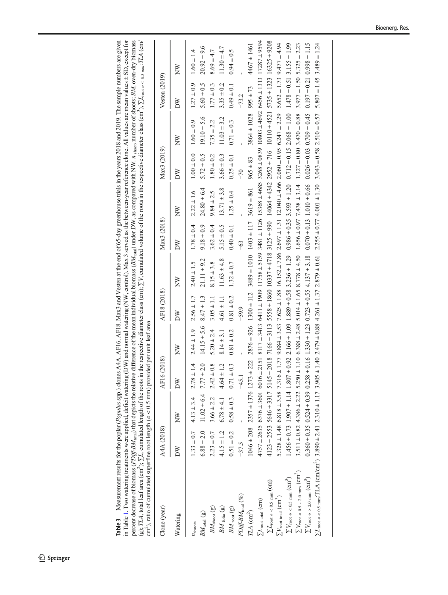<span id="page-5-0"></span>Table 3 Measurement results for the poplar (*Populus* spp.) clones A4A, AF16, AF18, Max3 and Vesten at the end of 65-day greenhouse trials in the years 2018 and 2019. The sample numbers are given<br>in Table 1. Two watering t m 1 abre 1. 1 wo watering ueatments were applied, deficitive and notifiate (DW) and notifiate (NW), colution). Max > served as the between-year reteriore clone. An values are mean values = 2D, except for the present decre Table 3 Measurement results for the poplar (*Populus* spp.) clones A4A, AF16, AF18, Max3 and Vesten at the end of 65-day greenhouse trials in the years 2018 and 2019. The sample numbers are given in Table [1](#page-2-0). Two watering treatments were applied, deficit watering (DW) and normal watering (NW, control). Max 3 served as the between-year reference clone. All values are mean values ± SD, except for percent decrease of biomass (*PDiff-BM<sub>toal</sub>*) that depicts the relative difference of the mean individual biomass (*BM<sub>total</sub>*) under DW, as compared with NW. n shoot, umber of shoots; *BM*, oven-dry biomass (g); TLA, total leaf area (cm<sup>2</sup>); ∑L, cumulated length of the roots in the respective diameter class (cm); ∑V, cumulated volume of the roots in the respective diameter class (cm<sup>3</sup>), ∑L<sub>root ø< 0.5 mm</sub>:TLA (cm/ cm<sup>2</sup>), ratio of cumulated superfine root length ( $\varrho$  < 0.5 mm) provided per unit leaf area

| cm ), rano or cummuated suberinte root rangul ( $\varnothing$ < 0.5 mm) provided per unit lear area                                                                                                                                      |                |                                      |                   |                                                                                                                                                                                                             |                |                                               |                |                 |                |                                                                                                                        |                                   |                 |
|------------------------------------------------------------------------------------------------------------------------------------------------------------------------------------------------------------------------------------------|----------------|--------------------------------------|-------------------|-------------------------------------------------------------------------------------------------------------------------------------------------------------------------------------------------------------|----------------|-----------------------------------------------|----------------|-----------------|----------------|------------------------------------------------------------------------------------------------------------------------|-----------------------------------|-----------------|
| Clone (year)                                                                                                                                                                                                                             | A4A (2018)     |                                      | AF16 (2018)       |                                                                                                                                                                                                             | AF18 (2018)    |                                               | Max3 (2018)    |                 | Max3 (2019)    |                                                                                                                        | Vesten $(2019)$                   |                 |
| Watering                                                                                                                                                                                                                                 | ðΝ             | $\geq$                               | DW                | XX                                                                                                                                                                                                          | ð              | $\geq$                                        | ðΝ             | XX              | δŇ             | $\geq$                                                                                                                 | ð                                 | XX              |
| $n_{\text{shoots}}$                                                                                                                                                                                                                      |                | $1.33 \pm 0.7$ 4.13 $\pm 3.4$        | $2.78 \pm 1.4$    | $2.44 \pm 1.9$                                                                                                                                                                                              | $2.56 \pm 1.7$ | $2.40 \pm 1.5$                                | $1.78 \pm 0.4$ | $2.22 \pm 1.6$  | $1.00 \pm 0.0$ | $1.60 \pm 0.9$                                                                                                         | $1.27 \pm 0.9$                    | $1.60 \pm 1.4$  |
| $BM_{\rm total}$ (g)                                                                                                                                                                                                                     | $6.88 \pm 2.0$ | $11.02 \pm 6.4$ 7.77 $\pm 2.0$       |                   | $14.15 \pm 5.6$                                                                                                                                                                                             | $8.47 \pm 1.3$ | $21.11 \pm 9.2$                               | $9.18 \pm 0.9$ | $24.80 \pm 6.4$ | $5.72 \pm 0.5$ | $19.10 \pm 5.6$                                                                                                        | $5.60 \pm 0.5$                    | $20.92 \pm 9.6$ |
| $BM_{\mathrm{shot}}\left(\mathbf{g}\right)$                                                                                                                                                                                              | $2.23 \pm 0.7$ | $3.66 \pm 2.2$                       | $= 0.8$<br>2.42.  | $5.20 \pm 2.4$                                                                                                                                                                                              | $3.05 \pm 1.1$ | $8.15 \pm 3.8$                                | $3.62 \pm 0.4$ | $9.84 \pm 2.5$  | $1.80 \pm 0.2$ | $7.35 \pm 2.2$                                                                                                         | $1.77 \pm 0.3$                    | $8.69 \pm 4.7$  |
| $BM$ $_{\rm{foia}}$ $(\rm{g})$                                                                                                                                                                                                           | $4.15 \pm 1.2$ | $6.78 \pm 4.1$                       | $\pm$ 1.2<br>4.64 | $8.14 \pm 3.1$                                                                                                                                                                                              | $4.61 \pm 1.1$ | $11.63 \pm 4.8$                               | $5.15 \pm 0.5$ | $13.71 \pm 3.8$ | $3.66 \pm 0.3$ | $11.03 \pm 3.2$                                                                                                        | $3.35 \pm 0.2$                    | $11.30 \pm 4.7$ |
| $BM_{\rm \, root}$ (g)                                                                                                                                                                                                                   | $0.51 \pm 0.2$ | $0.58 \pm 0.3$                       | $0.71 \pm 0.3$    | $0.81 \pm 0.2$                                                                                                                                                                                              | $0.81 \pm 0.2$ | $1.32 \pm 0.7$                                | $0.40 \pm 0.1$ | $1.25 \pm 0.4$  | $0.25 \pm 0.1$ | $0.71 \pm 0.3$                                                                                                         | $0.49 \pm 0.1$                    | $0.94 \pm 0.5$  |
| $PDiff\text{-}BM_{\text{total}}\left(\text{\%}\right)$                                                                                                                                                                                   | $-37.5$        |                                      | $-45.1$           |                                                                                                                                                                                                             | $-59.9$        |                                               | -63            |                 | $-70$          |                                                                                                                        | $-73.2$                           |                 |
| $T\!L\!A~({\rm cm}^2)$                                                                                                                                                                                                                   |                | $1046 \pm 208$ 2357 $\pm$ 1376 1273  | ± 222             | $2876 \pm 926$                                                                                                                                                                                              | $1300 \pm 112$ | $3489 \pm 1010$ 1403 $\pm$ 117 3619 $\pm$ 861 |                |                 | $965 \pm 83$   | $3864 \pm 1028$                                                                                                        | $995 \pm 73$                      | $4467 \pm 1461$ |
| $\Sigma L_{\rm root\ total}$ (cm)                                                                                                                                                                                                        |                | $4757 \pm 2635$ $6376 \pm 3601$ 6016 | ±2151             |                                                                                                                                                                                                             |                |                                               |                |                 |                | $10001 + 1011 + 3413$ 611 ± 1150 (0.45 ± 513 ± 5130 ± 628 ± 4685 3268 ± 4685 3268 ± 4692 ± 4692 6456 ± 1113 1128 ± 718 |                                   |                 |
| $\sum L_{\text{root } \varnothing} < 0.5$ mm (CITI)                                                                                                                                                                                      |                | $4123 \pm 2553$ 5646 $\pm 3317$ 5145 |                   | $\pm$ 2018 7166 $\pm$ 3113 5558 ± 1860 10337 $\pm$ 4718 3125 $\pm$ 960 14064 $\pm$ 4342 2952 $\pm$ 716 1010 $\pm$ 4521 5735 ± 1323 16325 ± 9208                                                             |                |                                               |                |                 |                |                                                                                                                        |                                   |                 |
| $\Sigma V_{\rm root\ total}~(\rm cm^3)$                                                                                                                                                                                                  |                |                                      |                   | $5.328 \pm 1.48$ 6.818 $\pm 3.58$ 7.316 $\pm 1.77$ 9.884 $\pm 3.53$ 7.625 $\pm 1.88$ 16.152 $\pm 7.86$ 2.697 $\pm 1.31$ 1.21.040 $\pm 4.66$ 2.060 $\pm 0.95$ 6.247 $\pm 2.29$                               |                |                                               |                |                 |                |                                                                                                                        | $5.652 \pm 1.73$ $9.477 \pm 4.94$ |                 |
| $\sum V_{\rm root}$ $\varnothing$ < 0.5 mm (cm^3)                                                                                                                                                                                        |                |                                      |                   | $1.456 + 0.73$ 1.907 ± 1.14 1.807 ± 1.09 ± 1.09 1.808 1.205 0.204 0.30 + 0.204 0.303 3.593 ± 1.20 0.112 1.015 2.068 ± 1.090 1.478 ± 0.51 3.155 ± 1.99                                                       |                |                                               |                |                 |                |                                                                                                                        |                                   |                 |
| $\Sigma V_{\rm root\ \varnothing\ 0.5$ - 2.0 mm $\rm (cm^3)$                                                                                                                                                                             |                |                                      |                   | $3.511 \pm 0.82$ 4.386 $\pm 2.22$ 5.250 $\pm 1.10$ 6.388 $\pm 2.48$ 5.014 $\pm 1.65$ 8.778 $\pm 4.50$ 1.656 $\pm 0.97$ 7.438 $\pm 3.14$ 1.327 $\pm 0.80$ 3.470 $\pm 0.88$ 3.977 $\pm 1.50$ 5.325 $\pm 2.23$ |                |                                               |                |                 |                |                                                                                                                        |                                   |                 |
| $\sum V_{\rm root}$ $\varnothing >$ 2.0 mm (cm $^3)$                                                                                                                                                                                     |                |                                      |                   | $0.360 \pm 0.35$ $0.524 \pm 0.39$ $0.258 \pm 0.16$ $1.330 \pm 1.23$ $0.723 \pm 0.55$ $4.137 \pm 3.18$                                                                                                       |                |                                               |                |                 |                | $0.070 \pm 0.13$ 1.010 $\pm$ 0.66 0.026 $\pm$ 0.03 0.709 $\pm$ 0.45 0.197 $\pm$ 0.21 0.998 $\pm$ 1.15                  |                                   |                 |
| $\Sigma L_{\text{root } \circ < 0.5 \text{ mm}}$ : TLA (cm/cm <sup>2</sup> ) 3.890 ± 2.41 2.310 ± 1.17 3.905 ± 1.40 2.479 ± 0.88 4.261 ± 1.37 2.879 ± 0.61 2.255 ± 0.77 4.001 ± 1.30 3.043 ± 0.58 2.510 ± 0.57 5.807 ± 1.45 3.489 ± 1.24 |                |                                      |                   |                                                                                                                                                                                                             |                |                                               |                |                 |                |                                                                                                                        |                                   |                 |
|                                                                                                                                                                                                                                          |                |                                      |                   |                                                                                                                                                                                                             |                |                                               |                |                 |                |                                                                                                                        |                                   |                 |
|                                                                                                                                                                                                                                          |                |                                      |                   |                                                                                                                                                                                                             |                |                                               |                |                 |                |                                                                                                                        |                                   |                 |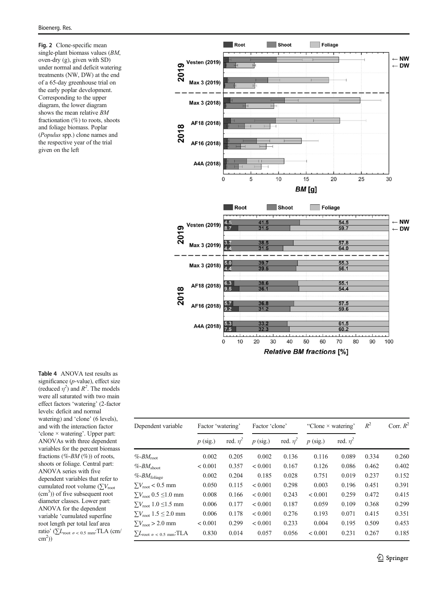<span id="page-6-0"></span>Fig. 2 Clone-specific mean single-plant biomass values (BM, oven-dry (g), given with SD) under normal and deficit watering treatments (NW, DW) at the end of a 65-day greenhouse trial on the early poplar development. Corresponding to the upper diagram, the lower diagram shows the mean relative BM fractionation (%) to roots, shoots and foliage biomass. Poplar (Populus spp.) clone names and the respective year of the trial given on the left



| Table 4 ANOVA test results as                                            |
|--------------------------------------------------------------------------|
| significance $(p$ -value), effect size                                   |
| (reduced $\eta^2$ ) and $R^2$ . The models                               |
| were all saturated with two main                                         |
| effect factors 'watering' (2-factor                                      |
| levels: deficit and normal                                               |
| watering) and 'clone' (6 levels),                                        |
| and with the interaction factor                                          |
| 'clone $\times$ watering'. Upper part:                                   |
| ANOVAs with three dependent                                              |
| variables for the percent biomass                                        |
| fractions (%- $BM$ (%)) of roots,                                        |
| shoots or foliage. Central part:                                         |
| ANOVA series with five                                                   |
| dependent variables that refer to                                        |
| cumulated root volume $(\sum V_{\text{root}})$                           |
| $(cm3)$ ) of five subsequent root                                        |
| diameter classes. Lower part:                                            |
| ANOVA for the dependent                                                  |
| variable 'cumulated superfine                                            |
| root length per total leaf area                                          |
| ratio' ( $\sum L_{\text{root}}$ $\varphi$ < 0.5 mm <sup>:</sup> TLA (cm/ |
| $\text{cm}^2$ )                                                          |

| Dependent variable                                          | Factor 'watering' |            | Factor 'clone' |            | "Clone $\times$ watering" |               | $R^2$ | Corr. $R^2$ |
|-------------------------------------------------------------|-------------------|------------|----------------|------------|---------------------------|---------------|-------|-------------|
|                                                             | $p$ (sig.)        | red. $n^2$ | $p$ (sig.)     | red. $n^2$ | $p$ (sig.)                | red. $\eta^2$ |       |             |
| $\%$ -BM <sub>root</sub>                                    | 0.002             | 0.205      | 0.002          | 0.136      | 0.116                     | 0.089         | 0.334 | 0.260       |
| $\%$ - $BM_{\rm shoot}$                                     | < 0.001           | 0.357      | < 0.001        | 0.167      | 0.126                     | 0.086         | 0.462 | 0.402       |
| $%-BM_{\rm{foliage}}$                                       | 0.002             | 0.204      | 0.185          | 0.028      | 0.751                     | 0.019         | 0.237 | 0.152       |
| $\sum V_{\text{root}}$ < 0.5 mm                             | 0.050             | 0.115      | < 0.001        | 0.298      | 0.003                     | 0.196         | 0.451 | 0.391       |
| $\Sigma V_{\text{root}}$ 0.5 $\leq$ 1.0 mm                  | 0.008             | 0.166      | ${}< 0.001$    | 0.243      | < 0.001                   | 0.259         | 0.472 | 0.415       |
| $\Sigma V_{\text{root}}$ 1.0 $\leq$ 1.5 mm                  | 0.006             | 0.177      | ${}< 0.001$    | 0.187      | 0.059                     | 0.109         | 0.368 | 0.299       |
| $\Sigma V_{\text{root}}$ 1.5 $\leq$ 2.0 mm                  | 0.006             | 0.178      | < 0.001        | 0.276      | 0.193                     | 0.071         | 0.415 | 0.351       |
| $\sum V_{\text{root}} > 2.0$ mm                             | < 0.001           | 0.299      | ${}< 0.001$    | 0.233      | 0.004                     | 0.195         | 0.509 | 0.453       |
| $\Sigma L_{\text{root } \varnothing} < 0.5 \text{ mm}$ :TLA | 0.830             | 0.014      | 0.057          | 0.056      | < 0.001                   | 0.231         | 0.267 | 0.185       |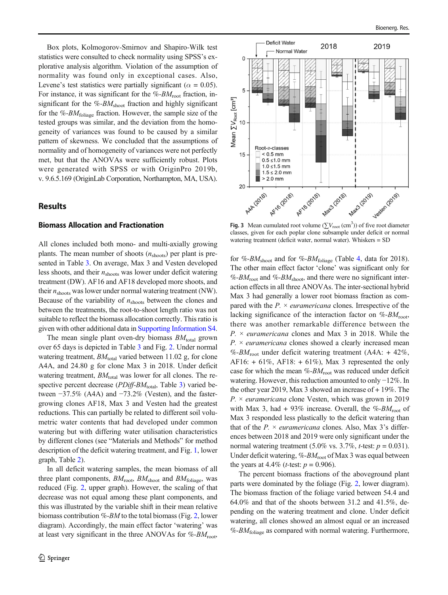<span id="page-7-0"></span>Box plots, Kolmogorov-Smirnov and Shapiro-Wilk test statistics were consulted to check normality using SPSS's explorative analysis algorithm. Violation of the assumption of normality was found only in exceptional cases. Also, Levene's test statistics were partially significant ( $\alpha = 0.05$ ). For instance, it was significant for the  $\%$ - $BM_{\text{root}}$  fraction, insignificant for the %- $BM<sub>shoot</sub>$  fraction and highly significant for the %- $BM_{\text{foliage}}$  fraction. However, the sample size of the tested groups was similar, and the deviation from the homogeneity of variances was found to be caused by a similar pattern of skewness. We concluded that the assumptions of normality and of homogeneity of variances were not perfectly met, but that the ANOVAs were sufficiently robust. Plots were generated with SPSS or with OriginPro 2019b, v. 9.6.5.169 (OriginLab Corporation, Northampton, MA, USA).

## Results

#### Biomass Allocation and Fractionation

All clones included both mono- and multi-axially growing plants. The mean number of shoots  $(n_{\text{shots}})$  per plant is presented in Table [3.](#page-5-0) On average, Max 3 and Vesten developed less shoots, and their  $n_{\text{shots}}$  was lower under deficit watering treatment (DW). AF16 and AF18 developed more shoots, and their  $n_{\text{shots}}$  was lower under normal watering treatment (NW). Because of the variability of  $n_{\text{shots}}$  between the clones and between the treatments, the root-to-shoot length ratio was not suitable to reflect the biomass allocation correctly. This ratio is given with other additional data in Supporting Information S4.

The mean single plant oven-dry biomass  $BM_{total}$  grown over 65 days is depicted in Table [3](#page-5-0) and Fig. [2.](#page-6-0) Under normal watering treatment,  $BM<sub>total</sub>$  varied between 11.02 g, for clone A4A, and 24.80 g for clone Max 3 in 2018. Under deficit watering treatment,  $BM_{\text{total}}$  was lower for all clones. The respective percent decrease ( $PDiff-BM_{\text{total}}$ , Table [3](#page-5-0)) varied between −37.5% (A4A) and −73.2% (Vesten), and the fastergrowing clones AF18, Max 3 and Vesten had the greatest reductions. This can partially be related to different soil volumetric water contents that had developed under common watering but with differing water utilisation characteristics by different clones (see "Materials and Methods" for method description of the deficit watering treatment, and Fig. [1](#page-3-0), lower graph, Table [2\)](#page-4-0).

In all deficit watering samples, the mean biomass of all three plant components,  $BM_{\text{root}}$ ,  $BM_{\text{shot}}$  and  $BM_{\text{foliage}}$ , was reduced (Fig. [2](#page-6-0), upper graph). However, the scaling of that decrease was not equal among these plant components, and this was illustrated by the variable shift in their mean relative biomass contribution %-BM to the total biomass (Fig. [2,](#page-6-0) lower diagram). Accordingly, the main effect factor 'watering' was at least very significant in the three ANOVAs for  $\%$ - $BM$ <sub>root</sub>,



Fig. 3 Mean cumulated root volume ( $\sum V_{\text{root}}$  (cm<sup>3</sup>)) of five root diameter classes, given for each poplar clone subsample under deficit or normal watering treatment (deficit water, normal water). Whiskers = SD

for %-BM<sub>shoot</sub> and for %-BM<sub>foliage</sub> (Table [4](#page-6-0), data for 2018). The other main effect factor 'clone' was significant only for  $\%$ -BM<sub>root</sub> and  $\%$ -BM<sub>shoot</sub>, and there were no significant interaction effects in all three ANOVAs. The inter-sectional hybrid Max 3 had generally a lower root biomass fraction as compared with the  $P \times$  *euramericana* clones. Irrespective of the lacking significance of the interaction factor on  $%$ - $BM$ <sub>root</sub>, there was another remarkable difference between the  $P_{\rm t}$   $\times$  *euramericana* clones and Max 3 in 2018. While the  $P \times$  *euramericana* clones showed a clearly increased mean %-B $M_{\text{root}}$  under deficit watering treatment (A4A: + 42%, AF16:  $+ 61\%$ , AF18:  $+ 61\%$ ), Max 3 represented the only case for which the mean  $%$ - $BM_{\text{root}}$  was reduced under deficit watering. However, this reduction amounted to only −12%. In the other year 2019, Max 3 showed an increase of + 19%. The  $P \times$  *euramericana* clone Vesten, which was grown in 2019 with Max 3, had + 93% increase. Overall, the %- $BM_{\text{root}}$  of Max 3 responded less plastically to the deficit watering than that of the  $P_1 \times$  *euramericana* clones. Also, Max 3's differences between 2018 and 2019 were only significant under the normal watering treatment (5.0% vs. 3.7%, *t*-test:  $p = 0.031$ ). Under deficit watering,  $\%$ - $BM_{\text{root}}$  of Max 3 was equal between the years at 4.4% (*t*-test:  $p = 0.906$ ).

The percent biomass fractions of the aboveground plant parts were dominated by the foliage (Fig. [2,](#page-6-0) lower diagram). The biomass fraction of the foliage varied between 54.4 and 64.0% and that of the shoots between 31.2 and 41.5%, depending on the watering treatment and clone. Under deficit watering, all clones showed an almost equal or an increased  $\%$ -B $M_{\text{foliage}}$  as compared with normal watering. Furthermore,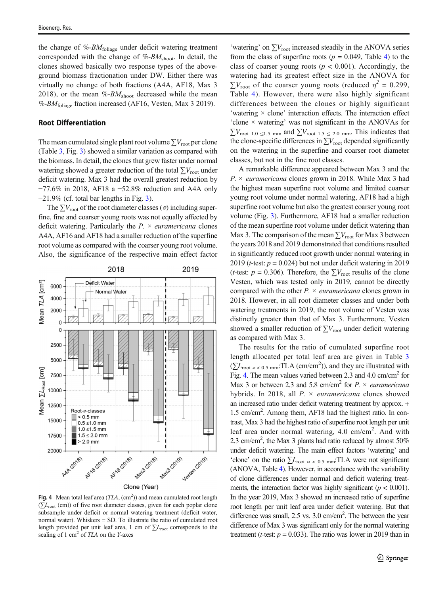the change of  $%$ - $BM$ <sub>foliage</sub> under deficit watering treatment corresponded with the change of  $%$ - $BM<sub>shoot</sub>$ . In detail, the clones showed basically two response types of the aboveground biomass fractionation under DW. Either there was virtually no change of both fractions (A4A, AF18, Max 3 2018), or the mean  $%$ - $BM<sub>shoot</sub>$  decreased while the mean %- $BM_{\text{foliage}}$  fraction increased (AF16, Vesten, Max 3 2019).

## Root Differentiation

The mean cumulated single plant root volume  $\sum V_{\text{root}}$  per clone (Table [3](#page-5-0), Fig. [3\)](#page-7-0) showed a similar variation as compared with the biomass. In detail, the clones that grew faster under normal watering showed a greater reduction of the total  $\sum V_{\text{root}}$  under deficit watering. Max 3 had the overall greatest reduction by −77.6% in 2018, AF18 a −52.8% reduction and A4A only  $-21.9\%$  (cf. total bar lengths in Fig. [3](#page-7-0)).

The  $\sum V_{\text{root}}$  of the root diameter classes ( $\varnothing$ ) including superfine, fine and coarser young roots was not equally affected by deficit watering. Particularly the  $P \times$  *euramericana* clones A4A, AF16 and AF18 had a smaller reduction of the superfine root volume as compared with the coarser young root volume. Also, the significance of the respective main effect factor



Fig. 4 Mean total leaf area  $(TLA, (cm<sup>2</sup>))$  and mean cumulated root length  $(\sum L_{\text{root}}$  (cm)) of five root diameter classes, given for each poplar clone subsample under deficit or normal watering treatment (deficit water, normal water). Whiskers = SD. To illustrate the ratio of cumulated root length provided per unit leaf area, 1 cm of  $\Sigma L_{\text{root}}$  corresponds to the scaling of 1 cm<sup>2</sup> of TLA on the Y-axes

'watering' on  $\sum V_{\text{root}}$  increased steadily in the ANOVA series from the class of superfine roots ( $p = 0.049$  $p = 0.049$  $p = 0.049$ , Table 4) to the class of coarser young roots ( $p < 0.001$ ). Accordingly, the watering had its greatest effect size in the ANOVA for  $\sum V_{\text{root}}$  of the coarser young roots (reduced  $\eta^2 = 0.299$ , Table [4\)](#page-6-0). However, there were also highly significant differences between the clones or highly significant 'watering  $\times$  clone' interaction effects. The interaction effect 'clone × watering' was not significant in the ANOVAs for  $\sum V_{\text{root 1.0} \leq 1.5 \text{ mm}}$  and  $\sum V_{\text{root 1.5} \leq 2.0 \text{ mm}}$ . This indicates that the clone-specific differences in  $\sum V_{\text{root}}$  depended significantly on the watering in the superfine and coarser root diameter classes, but not in the fine root classes.

A remarkable difference appeared between Max 3 and the  $P \times$  *euramericana* clones grown in 2018. While Max 3 had the highest mean superfine root volume and limited coarser young root volume under normal watering, AF18 had a high superfine root volume but also the greatest coarser young root volume (Fig. [3\)](#page-7-0). Furthermore, AF18 had a smaller reduction of the mean superfine root volume under deficit watering than Max 3. The comparison of the mean  $\sum V_{\text{root}}$  for Max 3 between the years 2018 and 2019 demonstrated that conditions resulted in significantly reduced root growth under normal watering in 2019 (*t*-test:  $p = 0.024$ ) but not under deficit watering in 2019 (*t*-test:  $p = 0.306$ ). Therefore, the  $\sum V_{\text{root}}$  results of the clone Vesten, which was tested only in 2019, cannot be directly compared with the other  $P \times$  *euramericana* clones grown in 2018. However, in all root diameter classes and under both watering treatments in 2019, the root volume of Vesten was distinctly greater than that of Max 3. Furthermore, Vesten showed a smaller reduction of  $\sum V_{\text{root}}$  under deficit watering as compared with Max 3.

The results for the ratio of cumulated superfine root length allocated per total leaf area are given in Table [3](#page-5-0)  $(\sum L_{\text{root } \varnothing} < 0.5 \text{ mm}: TLA \text{ (cm/cm}^2)$ ), and they are illustrated with Fig. 4. The mean values varied between 2.3 and 4.0 cm/cm<sup>2</sup> for Max 3 or between 2.3 and 5.8 cm/cm<sup>2</sup> for P.  $\times$  euramericana hybrids. In 2018, all  $P \times$  *euramericana* clones showed an increased ratio under deficit watering treatment by approx. + 1.5 cm/cm2 . Among them, AF18 had the highest ratio. In contrast, Max 3 had the highest ratio of superfine root length per unit leaf area under normal watering, 4.0 cm/cm<sup>2</sup>. And with 2.3 cm/cm<sup>2</sup>, the Max 3 plants had ratio reduced by almost 50% under deficit watering. The main effect factors 'watering' and 'clone' on the ratio  $\sum L_{\text{root } \phi}$  < 0.5 mm: TLA were not significant (ANOVA, Table [4\)](#page-6-0). However, in accordance with the variability of clone differences under normal and deficit watering treatments, the interaction factor was highly significant ( $p < 0.001$ ). In the year 2019, Max 3 showed an increased ratio of superfine root length per unit leaf area under deficit watering. But that difference was small, 2.5 vs. 3.0 cm/cm<sup>2</sup>. The between the year difference of Max 3 was significant only for the normal watering treatment (*t*-test:  $p = 0.033$ ). The ratio was lower in 2019 than in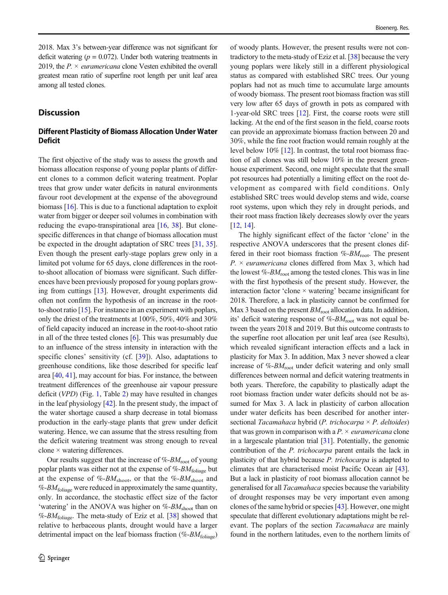2018. Max 3's between-year difference was not significant for deficit watering ( $p = 0.072$ ). Under both watering treatments in 2019, the  $P \times$  *euramericana* clone Vesten exhibited the overall greatest mean ratio of superfine root length per unit leaf area among all tested clones.

## **Discussion**

# Different Plasticity of Biomass Allocation Under Water Deficit

The first objective of the study was to assess the growth and biomass allocation response of young poplar plants of different clones to a common deficit watering treatment. Poplar trees that grow under water deficits in natural environments favour root development at the expense of the aboveground biomass [\[16](#page-12-0)]. This is due to a functional adaptation to exploit water from bigger or deeper soil volumes in combination with reducing the evapo-transpirational area [\[16](#page-12-0), [38\]](#page-13-0). But clonespecific differences in that change of biomass allocation must be expected in the drought adaptation of SRC trees [[31](#page-13-0), [35\]](#page-13-0). Even though the present early-stage poplars grew only in a limited pot volume for 65 days, clone differences in the rootto-shoot allocation of biomass were significant. Such differences have been previously proposed for young poplars growing from cuttings [\[13](#page-12-0)]. However, drought experiments did often not confirm the hypothesis of an increase in the rootto-shoot ratio [\[15\]](#page-12-0). For instance in an experiment with poplars, only the driest of the treatments at 100%, 50%, 40% and 30% of field capacity induced an increase in the root-to-shoot ratio in all of the three tested clones [\[6](#page-12-0)]. This was presumably due to an influence of the stress intensity in interaction with the specific clones' sensitivity (cf. [[39\]](#page-13-0)). Also, adaptations to greenhouse conditions, like those described for specific leaf area [[40](#page-13-0), [41\]](#page-13-0), may account for bias. For instance, the between treatment differences of the greenhouse air vapour pressure deficit (VPD) (Fig. [1](#page-3-0), Table [2](#page-4-0)) may have resulted in changes in the leaf physiology [\[42](#page-13-0)]. In the present study, the impact of the water shortage caused a sharp decrease in total biomass production in the early-stage plants that grew under deficit watering. Hence, we can assume that the stress resulting from the deficit watering treatment was strong enough to reveal clone × watering differences.

Our results suggest that the increase of  $%$ - $BM$ <sub>root</sub> of young poplar plants was either not at the expense of  $\%$ - $BM_{\text{foliage}}$  but at the expense of %- $BM_{\text{shoot}}$ , or that the %- $BM_{\text{shoot}}$  and  $%-BM_{\text{foliage}}$  were reduced in approximately the same quantity, only. In accordance, the stochastic effect size of the factor 'watering' in the ANOVA was higher on  $%$ - $BM<sub>shoot</sub>$  than on %- $BM_{\text{foliage}}$ . The meta-study of Eziz et al. [\[38\]](#page-13-0) showed that relative to herbaceous plants, drought would have a larger detrimental impact on the leaf biomass fraction (%- $BM_{\text{foliage}}$ ) of woody plants. However, the present results were not contradictory to the meta-study of Eziz et al. [[38\]](#page-13-0) because the very young poplars were likely still in a different physiological status as compared with established SRC trees. Our young poplars had not as much time to accumulate large amounts of woody biomass. The present root biomass fraction was still very low after 65 days of growth in pots as compared with 1-year-old SRC trees [\[12](#page-12-0)]. First, the coarse roots were still lacking. At the end of the first season in the field, coarse roots can provide an approximate biomass fraction between 20 and 30%, while the fine root fraction would remain roughly at the level below 10% [[12\]](#page-12-0). In contrast, the total root biomass fraction of all clones was still below 10% in the present greenhouse experiment. Second, one might speculate that the small pot resources had potentially a limiting effect on the root development as compared with field conditions. Only established SRC trees would develop stems and wide, coarse root systems, upon which they rely in drought periods, and their root mass fraction likely decreases slowly over the years [\[12](#page-12-0), [14\]](#page-12-0).

The highly significant effect of the factor 'clone' in the respective ANOVA underscores that the present clones differed in their root biomass fraction  $\%$ - $BM$ <sub>root</sub>. The present  $P \times$  *euramericana* clones differed from Max 3, which had the lowest  $\%$ - $BM_{\text{root}}$  among the tested clones. This was in line with the first hypothesis of the present study. However, the interaction factor 'clone  $\times$  watering' became insignificant for 2018. Therefore, a lack in plasticity cannot be confirmed for Max 3 based on the present  $BM_{\text{root}}$  allocation data. In addition, its' deficit watering response of  $\%$ - $BM_{\text{root}}$  was not equal between the years 2018 and 2019. But this outcome contrasts to the superfine root allocation per unit leaf area (see Results), which revealed significant interaction effects and a lack in plasticity for Max 3. In addition, Max 3 never showed a clear increase of  $%$ - $BM_{\text{root}}$  under deficit watering and only small differences between normal and deficit watering treatments in both years. Therefore, the capability to plastically adapt the root biomass fraction under water deficits should not be assumed for Max 3. A lack in plasticity of carbon allocation under water deficits has been described for another intersectional Tacamahaca hybrid (P. trichocarpa  $\times$  P. deltoides) that was grown in comparison with a  $P \times$  *euramericana* clone in a largescale plantation trial [[31](#page-13-0)]. Potentially, the genomic contribution of the P. trichocarpa parent entails the lack in plasticity of that hybrid because P. trichocarpa is adapted to climates that are characterised moist Pacific Ocean air [[43\]](#page-13-0). But a lack in plasticity of root biomass allocation cannot be generalised for all Tacamahaca species because the variability of drought responses may be very important even among clones of the same hybrid or species [\[43](#page-13-0)]. However, one might speculate that different evolutionary adaptations might be relevant. The poplars of the section Tacamahaca are mainly found in the northern latitudes, even to the northern limits of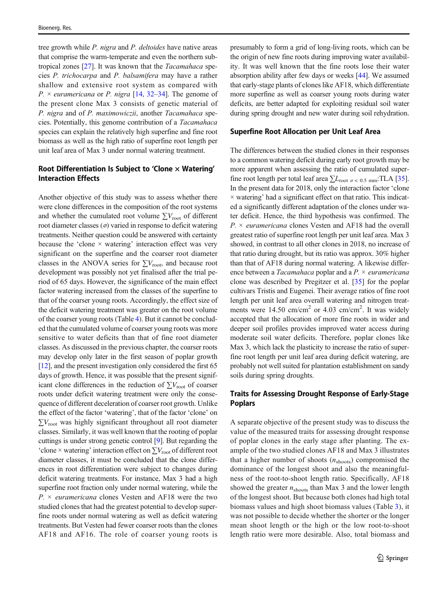tree growth while P. nigra and P. deltoides have native areas that comprise the warm-temperate and even the northern subtropical zones [[27\]](#page-13-0). It was known that the Tacamahaca species P. trichocarpa and P. balsamifera may have a rather shallow and extensive root system as compared with  $P \times$  euramericana or P. nigra [[14](#page-12-0), [32](#page-13-0)–[34\]](#page-13-0). The genome of the present clone Max 3 consists of genetic material of P. nigra and of P. maximowiczii, another Tacamahaca species. Potentially, this genome contribution of a Tacamahaca species can explain the relatively high superfine and fine root biomass as well as the high ratio of superfine root length per unit leaf area of Max 3 under normal watering treatment.

## Root Differentiation Is Subject to 'Clone  $\times$  Watering' Interaction Effects

Another objective of this study was to assess whether there were clone differences in the composition of the root systems and whether the cumulated root volume  $\sum V_{\text{root}}$  of different root diameter classes (⌀) varied in response to deficit watering treatments. Neither question could be answered with certainty because the 'clone  $\times$  watering' interaction effect was very significant on the superfine and the coarser root diameter classes in the ANOVA series for  $\sum V_{\text{root}}$ , and because root development was possibly not yet finalised after the trial period of 65 days. However, the significance of the main effect factor watering increased from the classes of the superfine to that of the coarser young roots. Accordingly, the effect size of the deficit watering treatment was greater on the root volume of the coarser young roots (Table [4\)](#page-6-0). But it cannot be concluded that the cumulated volume of coarser young roots was more sensitive to water deficits than that of fine root diameter classes. As discussed in the previous chapter, the coarser roots may develop only later in the first season of poplar growth [\[12\]](#page-12-0), and the present investigation only considered the first 65 days of growth. Hence, it was possible that the present significant clone differences in the reduction of  $\sum V_{\text{root}}$  of coarser roots under deficit watering treatment were only the consequence of different deceleration of coarser root growth. Unlike the effect of the factor 'watering', that of the factor 'clone' on  $\sum V_{\text{root}}$  was highly significant throughout all root diameter classes. Similarly, it was well known that the rooting of poplar cuttings is under strong genetic control [\[9\]](#page-12-0). But regarding the 'clone × watering' interaction effect on  $\sum V_{\text{root}}$  of different root diameter classes, it must be concluded that the clone differences in root differentiation were subject to changes during deficit watering treatments. For instance, Max 3 had a high superfine root fraction only under normal watering, while the  $P \times$  *euramericana* clones Vesten and AF18 were the two studied clones that had the greatest potential to develop superfine roots under normal watering as well as deficit watering treatments. But Vesten had fewer coarser roots than the clones AF18 and AF16. The role of coarser young roots is

presumably to form a grid of long-living roots, which can be the origin of new fine roots during improving water availability. It was well known that the fine roots lose their water absorption ability after few days or weeks [\[44](#page-13-0)]. We assumed that early-stage plants of clones like AF18, which differentiate more superfine as well as coarser young roots during water deficits, are better adapted for exploiting residual soil water during spring drought and new water during soil rehydration.

## Superfine Root Allocation per Unit Leaf Area

The differences between the studied clones in their responses to a common watering deficit during early root growth may be more apparent when assessing the ratio of cumulated superfine root length per total leaf area  $\sum L_{\text{root } \varphi} < 0.5$  mm:TLA [[35\]](#page-13-0). In the present data for 2018, only the interaction factor 'clone  $\times$  watering' had a significant effect on that ratio. This indicated a significantly different adaptation of the clones under water deficit. Hence, the third hypothesis was confirmed. The  $P \times$  *euramericana* clones Vesten and AF18 had the overall greatest ratio of superfine root length per unit leaf area. Max 3 showed, in contrast to all other clones in 2018, no increase of that ratio during drought, but its ratio was approx. 30% higher than that of AF18 during normal watering. A likewise difference between a *Tacamahaca* poplar and a  $P \times$  *euramericana* clone was described by Pregitzer et al. [\[35](#page-13-0)] for the poplar cultivars Tristis and Eugenei. Their average ratios of fine root length per unit leaf area overall watering and nitrogen treatments were 14.50 cm/cm<sup>2</sup> or 4.03 cm/cm<sup>2</sup>. It was widely accepted that the allocation of more fine roots in wider and deeper soil profiles provides improved water access during moderate soil water deficits. Therefore, poplar clones like Max 3, which lack the plasticity to increase the ratio of superfine root length per unit leaf area during deficit watering, are probably not well suited for plantation establishment on sandy soils during spring droughts.

## Traits for Assessing Drought Response of Early-Stage Poplars

A separate objective of the present study was to discuss the value of the measured traits for assessing drought response of poplar clones in the early stage after planting. The example of the two studied clones AF18 and Max 3 illustrates that a higher number of shoots  $(n_{\text{shots}})$  compromised the dominance of the longest shoot and also the meaningfulness of the root-to-shoot length ratio. Specifically, AF18 showed the greater  $n_{\text{shots}}$  than Max 3 and the lower length of the longest shoot. But because both clones had high total biomass values and high shoot biomass values (Table [3](#page-5-0)), it was not possible to decide whether the shorter or the longer mean shoot length or the high or the low root-to-shoot length ratio were more desirable. Also, total biomass and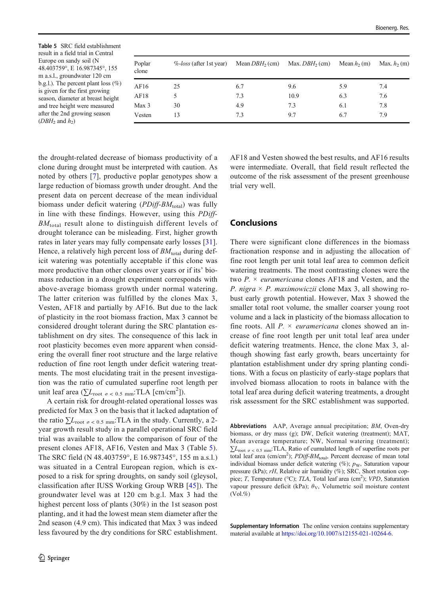Table 5 SRC field establishment result in a field trial in Central Europe on sandy soil (N 48.403759°, E 16.987345°, 155 m a.s.l., groundwater 120 cm b.g.l.). The percent plant loss  $(\%)$ is given for the first growing season, diameter at breast height and tree height were measured after the 2nd growing season ( $DBH_2$  and  $h_2$ )

| Poplar<br>clone  | $\%$ -loss (after 1st year) | Mean $DBH_2$ (cm) | Max. $DBH_2$ (cm) | Mean $h_2$ (m) | Max. $h_2$ (m) |
|------------------|-----------------------------|-------------------|-------------------|----------------|----------------|
| AF16             | 25                          | 6.7               | 9.6               | 5.9            | 7.4            |
| AF18             | 5                           | 7.3               | 10.9              | 6.3            | 7.6            |
| Max <sub>3</sub> | 30                          | 4.9               | 7.3               | 6.1            | 7.8            |
| Vesten           | 13                          | 7.3               | 9.7               | 6.7            | 7.9            |

the drought-related decrease of biomass productivity of a clone during drought must be interpreted with caution. As noted by others [\[7](#page-12-0)], productive poplar genotypes show a large reduction of biomass growth under drought. And the present data on percent decrease of the mean individual biomass under deficit watering  $(PDiff-BM_{\text{total}})$  was fully in line with these findings. However, using this PDiff- $BM_{total}$  result alone to distinguish different levels of drought tolerance can be misleading. First, higher growth rates in later years may fully compensate early losses [\[31](#page-13-0)]. Hence, a relatively high percent loss of  $BM_{total}$  during deficit watering was potentially acceptable if this clone was more productive than other clones over years or if its' biomass reduction in a drought experiment corresponds with above-average biomass growth under normal watering. The latter criterion was fulfilled by the clones Max 3, Vesten, AF18 and partially by AF16. But due to the lack of plasticity in the root biomass fraction, Max 3 cannot be considered drought tolerant during the SRC plantation establishment on dry sites. The consequence of this lack in root plasticity becomes even more apparent when considering the overall finer root structure and the large relative reduction of fine root length under deficit watering treatments. The most elucidating trait in the present investigation was the ratio of cumulated superfine root length per unit leaf area ( $\sum L_{\text{root}}$   $\ge$   $\le$  0.5 mm: TLA [cm/cm<sup>2</sup>]).

A certain risk for drought-related operational losses was predicted for Max 3 on the basis that it lacked adaptation of the ratio  $\sum L_{\text{root } \varphi}$  < 0.5 mm: TLA in the study. Currently, a 2year growth result study in a parallel operational SRC field trial was available to allow the comparison of four of the present clones AF18, AF16, Vesten and Max 3 (Table 5). The SRC field (N 48.403759°, E 16.987345°, 155 m a.s.l.) was situated in a Central European region, which is exposed to a risk for spring droughts, on sandy soil (gleysol, classification after IUSS Working Group WRB [[45](#page-13-0)]). The groundwater level was at 120 cm b.g.l. Max 3 had the highest percent loss of plants (30%) in the 1st season post planting, and it had the lowest mean stem diameter after the 2nd season (4.9 cm). This indicated that Max 3 was indeed less favoured by the dry conditions for SRC establishment.

AF18 and Vesten showed the best results, and AF16 results were intermediate. Overall, that field result reflected the outcome of the risk assessment of the present greenhouse trial very well.

# Conclusions

There were significant clone differences in the biomass fractionation response and in adjusting the allocation of fine root length per unit total leaf area to common deficit watering treatments. The most contrasting clones were the two  $P \times$  *euramericana* clones AF18 and Vesten, and the P. nigra  $\times$  P. maximowiczii clone Max 3, all showing robust early growth potential. However, Max 3 showed the smaller total root volume, the smaller coarser young root volume and a lack in plasticity of the biomass allocation to fine roots. All  $P \times$  *euramericana* clones showed an increase of fine root length per unit total leaf area under deficit watering treatments. Hence, the clone Max 3, although showing fast early growth, bears uncertainty for plantation establishment under dry spring planting conditions. With a focus on plasticity of early-stage poplars that involved biomass allocation to roots in balance with the total leaf area during deficit watering treatments, a drought risk assessment for the SRC establishment was supported.

Abbreviations AAP, Average annual precipitation; BM, Oven-dry biomass, or dry mass (g); DW, Deficit watering (treatment); MAT, Mean average temperature; NW, Normal watering (treatment);  $\sum L_{\text{root } \varnothing}$  < 0.5 mm<sup>:</sup>TLA, Ratio of cumulated length of superfine roots per total leaf area  $(\text{cm/cm}^2)$ ;  $PDiff-BM_{\text{total}}$ , Percent decrease of mean total individual biomass under deficit watering  $(\%)$ ;  $p_W$ , Saturation vapour pressure (kPa); rH, Relative air humidity (%); SRC, Short rotation coppice; T, Temperature (°C); TLA, Total leaf area (cm<sup>2</sup>); VPD, Saturation vapour pressure deficit (kPa);  $\theta_{V}$ , Volumetric soil moisture content  $(Vol. %$ 

Supplementary Information The online version contains supplementary material available at [https://doi.org/10.1007/s12155-021-10264-6.](https://doi.org/10.1007/s12155-021-10264-6)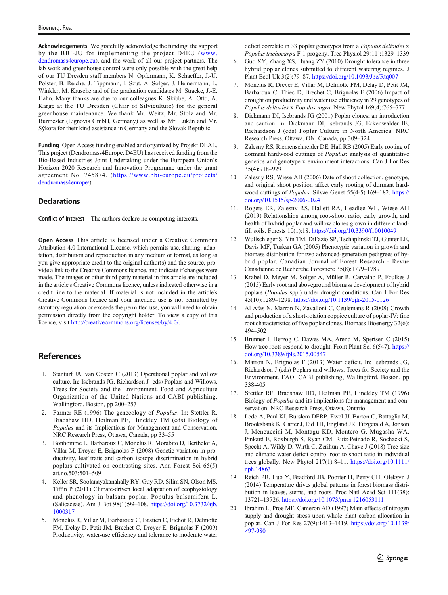<span id="page-12-0"></span>Acknowledgements We gratefully acknowledge the funding, the support by the BBI-JU for implementing the project D4EU ([www.](http://www.dendromass4europe.eu) [dendromass4europe.eu\)](http://www.dendromass4europe.eu), and the work of all our project partners. The lab work and greenhouse control were only possible with the great help of our TU Dresden staff members N. Opfermann, K. Schaeffer, J.-U. Polster, B. Reiche, J. Tippmann, I. Szut, A. Solger, J. Heinermann, L. Winkler, M. Krusche and of the graduation candidates M. Stracke, J.-E. Hahn. Many thanks are due to our colleagues K. Skibbe, A. Otto, A. Karge at the TU Dresden (Chair of Silviculture) for the general greenhouse maintenance. We thank Mr. Weitz, Mr. Stolz and Mr. Burmester (Lignovis GmbH, Germany) as well as Mr. Lukán and Mr. Sýkora for their kind assistance in Germany and the Slovak Republic.

Funding Open Access funding enabled and organized by Projekt DEAL. This project (Dendromass4Europe, D4EU) has received funding from the Bio-Based Industries Joint Undertaking under the European Union's Horizon 2020 Research and Innovation Programme under the grant agreement No. 745874. ([https://www.bbi-europe.eu/projects/](https://www.bbi-europe.eu/projects/dendromass4europe/) [dendromass4europe/\)](https://www.bbi-europe.eu/projects/dendromass4europe/)

#### **Declarations**

Conflict of Interest The authors declare no competing interests.

Open Access This article is licensed under a Creative Commons Attribution 4.0 International License, which permits use, sharing, adaptation, distribution and reproduction in any medium or format, as long as you give appropriate credit to the original author(s) and the source, provide a link to the Creative Commons licence, and indicate if changes were made. The images or other third party material in this article are included in the article's Creative Commons licence, unless indicated otherwise in a credit line to the material. If material is not included in the article's Creative Commons licence and your intended use is not permitted by statutory regulation or exceeds the permitted use, you will need to obtain permission directly from the copyright holder. To view a copy of this licence, visit <http://creativecommons.org/licenses/by/4.0/>.

# **References**

- 1. Stanturf JA, van Oosten C (2013) Operational poplar and willow culture. In: Isebrands JG, Richardson J (eds) Poplars and Willows. Trees for Society and the Environment. Food and Agriculture Organization of the United Nations and CABI publishing, Wallingford, Boston, pp 200–257
- 2. Farmer RE (1996) The genecology of Populus. In: Stettler R, Bradshaw HD, Heilman PE, Hinckley TM (eds) Biology of Populus and its Implications for Management and Conservation. NRC Research Press, Ottawa, Canada, pp 33–55
- 3. Bonhomme L, Barbaroux C, Monclus R, Morabito D, Berthelot A, Villar M, Dreyer E, Brignolas F (2008) Genetic variation in productivity, leaf traits and carbon isotope discrimination in hybrid poplars cultivated on contrasting sites. Ann Forest Sci 65(5) art.no.503:501–509
- 4. Keller SR, Soolanayakanahally RY, Guy RD, Silim SN, Olson MS, Tiffin P (2011) Climate-driven local adaptation of ecophysiology and phenology in balsam poplar, Populus balsamifera L. (Salicaceae). Am J Bot 98(1):99–108. [https://doi.org/10.3732/ajb.](https://doi.org/10.3732/ajb.1000317) [1000317](https://doi.org/10.3732/ajb.1000317)
- 5. Monclus R, Villar M, Barbaroux C, Bastien C, Fichot R, Delmotte FM, Delay D, Petit JM, Brechet C, Dreyer E, Brignolas F (2009) Productivity, water-use efficiency and tolerance to moderate water

deficit correlate in 33 poplar genotypes from a Populus deltoides x Populus trichocarpa F-1 progeny. Tree Physiol 29(11):1329–1339

- 6. Guo XY, Zhang XS, Huang ZY (2010) Drought tolerance in three hybrid poplar clones submitted to different watering regimes. J Plant Ecol-Uk 3(2):79–87. <https://doi.org/10.1093/Jpe/Rtq007>
- 7. Monclus R, Dreyer E, Villar M, Delmotte FM, Delay D, Petit JM, Barbaroux C, Thiec D, Brechet C, Brignolas F (2006) Impact of drought on productivity and water use efficiency in 29 genotypes of Populus deltoides x Populus nigra. New Phytol 169(4):765–777
- 8. Dickmann DI, Isebrands JG (2001) Poplar clones: an introduction and caution. In: Dickmann DI, Isebrands JG, Eckenwalder JE, Richardson J (eds) Poplar Culture in North America. NRC Research Press, Ottawa, ON, Canada, pp 309–324
- 9. Zalesny RS, Riemenschneider DE, Hall RB (2005) Early rooting of dormant hardwood cuttings of *Populus*: analysis of quantitative genetics and genotype x environment interactions. Can J For Res 35(4):918–929
- 10. Zalesny RS, Wiese AH (2006) Date of shoot collection, genotype, and original shoot position affect early rooting of dormant hardwood cuttings of Populus. Silvae Genet 55(4-5):169–182. [https://](https://doi.org/10.1515/sg-2006-0024) [doi.org/10.1515/sg-2006-0024](https://doi.org/10.1515/sg-2006-0024)
- 11. Rogers ER, Zalesny RS, Hallett RA, Headlee WL, Wiese AH (2019) Relationships among root-shoot ratio, early growth, and health of hybrid poplar and willow clones grown in different landfill soils. Forests 10(1):18. <https://doi.org/10.3390/f10010049>
- 12. Wullschleger S, Yin TM, DiFazio SP, Tschaplinski TJ, Gunter LE, Davis MF, Tuskan GA (2005) Phenotypic variation in growth and biomass distribution for two advanced-generation pedigrees of hybrid poplar. Canadian Journal of Forest Research - Revue Canadienne de Recherche Forestière 35(8):1779–1789
- 13. Krabel D, Meyer M, Solger A, Müller R, Carvalho P, Foulkes J (2015) Early root and aboveground biomass development of hybrid poplars (Populus spp.) under drought conditions. Can J For Res 45(10):1289–1298. <https://doi.org/10.1139/cjfr-2015-0126>
- 14. Al Afas N, Marron N, Zavalloni C, Ceulemans R (2008) Growth and production of a short-rotation coppice culture of poplar-IV: fine root characteristics of five poplar clones. Biomass Bioenergy 32(6): 494–502
- 15. Brunner I, Herzog C, Dawes MA, Arend M, Sperisen C (2015) How tree roots respond to drought. Front Plant Sci 6(547). [https://](https://doi.org/10.3389/fpls.2015.00547) [doi.org/10.3389/fpls.2015.00547](https://doi.org/10.3389/fpls.2015.00547)
- 16. Marron N, Brignolas F (2013) Water deficit. In: Isebrands JG, Richardson J (eds) Poplars and willows. Trees for Society and the Environment. FAO, CABI publishing, Wallingford, Boston, pp 338-405
- 17. Stettler RF, Bradshaw HD, Heilman PE, Hinckley TM (1996) Biology of Populus and its implications for management and conservation. NRC Research Press, Ottawa, Ontario
- 18. Ledo A, Paul KI, Burslem DFRP, Ewel JJ, Barton C, Battaglia M, Brooksbank K, Carter J, Eid TH, England JR, Fitzgerald A, Jonson J, Mencuccini M, Montagu KD, Montero G, Mugasha WA, Pinkard E, Roxburgh S, Ryan CM, Ruiz-Peinado R, Sochacki S, Specht A, Wildy D, Wirth C, Zerihun A, Chave J (2018) Tree size and climatic water deficit control root to shoot ratio in individual trees globally. New Phytol 217(1):8–11. [https://doi.org/10.1111/](https://doi.org/10.1111/nph.14863) [nph.14863](https://doi.org/10.1111/nph.14863)
- 19. Reich PB, Luo Y, Bradford JB, Poorter H, Perry CH, Oleksyn J (2014) Temperature drives global patterns in forest biomass distribution in leaves, stems, and roots. Proc Natl Acad Sci 111(38): 13721–13726. <https://doi.org/10.1073/pnas.1216053111>
- 20. Ibrahim L, Proe MF, Cameron AD (1997) Main effects of nitrogen supply and drought stress upon whole-plant carbon allocation in poplar. Can J For Res 27(9):1413–1419. [https://doi.org/10.1139/](https://doi.org/10.1139/�97-080)  $\times$ 97-080